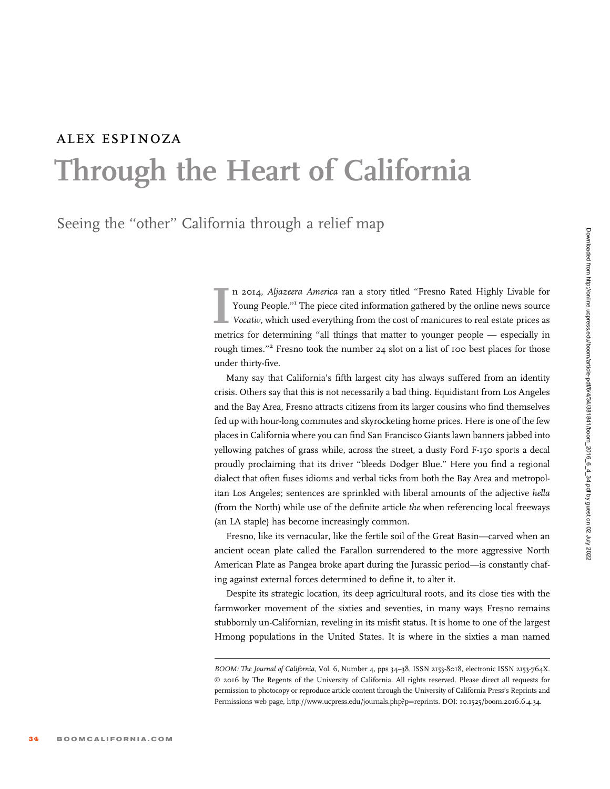## alex espinoza Through the Heart of California

Seeing the "other" California through a relief map

In 2014, Aljazeera America ran a story titled "Fresno Rated Highly Livable for Young People."<sup>1</sup> The piece cited information gathered by the online news source Vocativ, which used everything from the cost of manicures to r n 2014, Aljazeera America ran a story titled ''Fresno Rated Highly Livable for Young People."<sup>1</sup> The piece cited information gathered by the online news source Vocativ, which used everything from the cost of manicures to real estate prices as rough times.''<sup>2</sup> Fresno took the number 24 slot on a list of 100 best places for those under thirty-five.

Many say that California's fifth largest city has always suffered from an identity crisis. Others say that this is not necessarily a bad thing. Equidistant from Los Angeles and the Bay Area, Fresno attracts citizens from its larger cousins who find themselves fed up with hour-long commutes and skyrocketing home prices. Here is one of the few places in California where you can find San Francisco Giants lawn banners jabbed into yellowing patches of grass while, across the street, a dusty Ford F-150 sports a decal proudly proclaiming that its driver ''bleeds Dodger Blue.'' Here you find a regional dialect that often fuses idioms and verbal ticks from both the Bay Area and metropolitan Los Angeles; sentences are sprinkled with liberal amounts of the adjective hella (from the North) while use of the definite article the when referencing local freeways (an LA staple) has become increasingly common.

Fresno, like its vernacular, like the fertile soil of the Great Basin—carved when an ancient ocean plate called the Farallon surrendered to the more aggressive North American Plate as Pangea broke apart during the Jurassic period—is constantly chafing against external forces determined to define it, to alter it.

Despite its strategic location, its deep agricultural roots, and its close ties with the farmworker movement of the sixties and seventies, in many ways Fresno remains stubbornly un-Californian, reveling in its misfit status. It is home to one of the largest Hmong populations in the United States. It is where in the sixties a man named

BOOM: The Journal of California, Vol. 6, Number 4, pps 34-38, ISSN 2153-8018, electronic ISSN 2153-764X. © 2016 by The Regents of the University of California. All rights reserved. Please direct all requests for permission to photocopy or reproduce article content through the University of California Press's Reprints and Permissions web page, http://www.ucpress.edu/journals.php?p=reprints. DOI: 10.1525/boom.2016.6.4.34.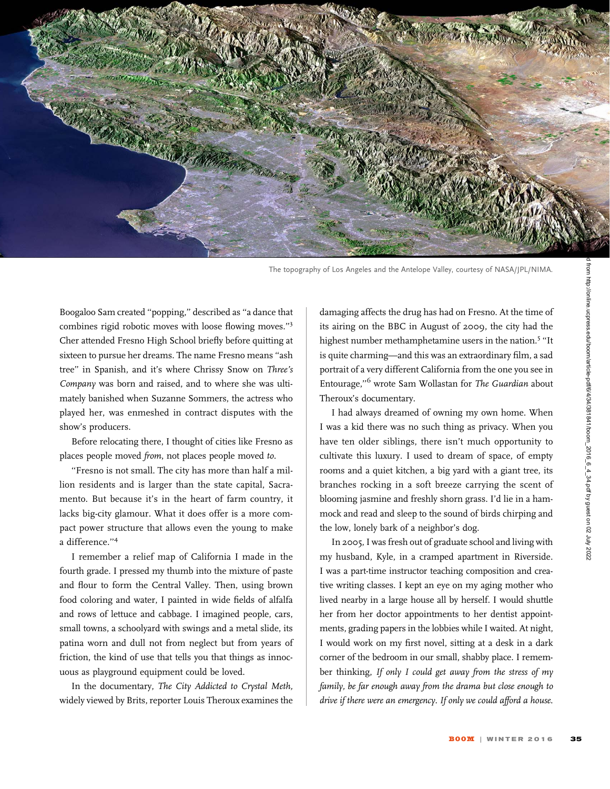

The topography of Los Angeles and the Antelope Valley, courtesy of NASA/JPL/NIMA.

Boogaloo Sam created ''popping,'' described as ''a dance that combines rigid robotic moves with loose flowing moves.''<sup>3</sup> Cher attended Fresno High School briefly before quitting at sixteen to pursue her dreams. The name Fresno means ''ash tree'' in Spanish, and it's where Chrissy Snow on Three's Company was born and raised, and to where she was ultimately banished when Suzanne Sommers, the actress who played her, was enmeshed in contract disputes with the show's producers.

Before relocating there, I thought of cities like Fresno as places people moved from, not places people moved to.

''Fresno is not small. The city has more than half a million residents and is larger than the state capital, Sacramento. But because it's in the heart of farm country, it lacks big-city glamour. What it does offer is a more compact power structure that allows even the young to make a difference.''<sup>4</sup>

I remember a relief map of California I made in the fourth grade. I pressed my thumb into the mixture of paste and flour to form the Central Valley. Then, using brown food coloring and water, I painted in wide fields of alfalfa and rows of lettuce and cabbage. I imagined people, cars, small towns, a schoolyard with swings and a metal slide, its patina worn and dull not from neglect but from years of friction, the kind of use that tells you that things as innocuous as playground equipment could be loved.

In the documentary, The City Addicted to Crystal Meth, widely viewed by Brits, reporter Louis Theroux examines the damaging affects the drug has had on Fresno. At the time of its airing on the BBC in August of 2009, the city had the highest number methamphetamine users in the nation.<sup>5</sup> "It is quite charming—and this was an extraordinary film, a sad portrait of a very different California from the one you see in Entourage,''<sup>6</sup> wrote Sam Wollastan for The Guardian about Theroux's documentary.

I had always dreamed of owning my own home. When I was a kid there was no such thing as privacy. When you have ten older siblings, there isn't much opportunity to cultivate this luxury. I used to dream of space, of empty rooms and a quiet kitchen, a big yard with a giant tree, its branches rocking in a soft breeze carrying the scent of blooming jasmine and freshly shorn grass. I'd lie in a hammock and read and sleep to the sound of birds chirping and the low, lonely bark of a neighbor's dog.

In 2005, I was fresh out of graduate school and living with my husband, Kyle, in a cramped apartment in Riverside. I was a part-time instructor teaching composition and creative writing classes. I kept an eye on my aging mother who lived nearby in a large house all by herself. I would shuttle her from her doctor appointments to her dentist appointments, grading papers in the lobbies while I waited. At night, I would work on my first novel, sitting at a desk in a dark corner of the bedroom in our small, shabby place. I remember thinking, If only I could get away from the stress of my family, be far enough away from the drama but close enough to drive if there were an emergency. If only we could afford a house.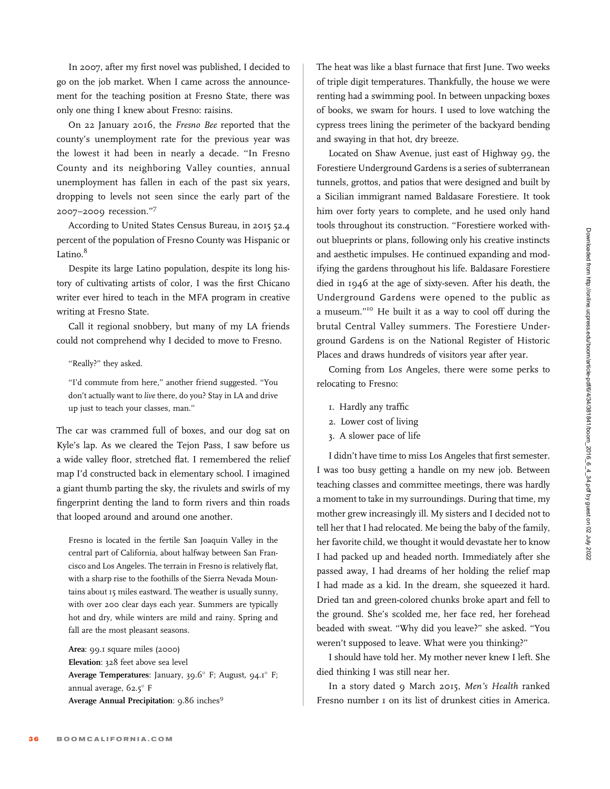In 2007, after my first novel was published, I decided to go on the job market. When I came across the announcement for the teaching position at Fresno State, there was only one thing I knew about Fresno: raisins.

On 22 January 2016, the Fresno Bee reported that the county's unemployment rate for the previous year was the lowest it had been in nearly a decade. ''In Fresno County and its neighboring Valley counties, annual unemployment has fallen in each of the past six years, dropping to levels not seen since the early part of the 2007–2009 recession.''<sup>7</sup>

According to United States Census Bureau, in 2015 52.4 percent of the population of Fresno County was Hispanic or Latino.<sup>8</sup>

Despite its large Latino population, despite its long history of cultivating artists of color, I was the first Chicano writer ever hired to teach in the MFA program in creative writing at Fresno State.

Call it regional snobbery, but many of my LA friends could not comprehend why I decided to move to Fresno.

## "Really?" they asked.

''I'd commute from here,'' another friend suggested. ''You don't actually want to live there, do you? Stay in LA and drive up just to teach your classes, man.''

The car was crammed full of boxes, and our dog sat on Kyle's lap. As we cleared the Tejon Pass, I saw before us a wide valley floor, stretched flat. I remembered the relief map I'd constructed back in elementary school. I imagined a giant thumb parting the sky, the rivulets and swirls of my fingerprint denting the land to form rivers and thin roads that looped around and around one another.

Fresno is located in the fertile San Joaquin Valley in the central part of California, about halfway between San Francisco and Los Angeles. The terrain in Fresno is relatively flat, with a sharp rise to the foothills of the Sierra Nevada Mountains about 15 miles eastward. The weather is usually sunny, with over 200 clear days each year. Summers are typically hot and dry, while winters are mild and rainy. Spring and fall are the most pleasant seasons.

Area: 99.1 square miles (2000) Elevation: 328 feet above sea level Average Temperatures: January, 39.6° F; August, 94.1° F; annual average, 62.5° F Average Annual Precipitation: 9.86 inches<sup>9</sup>

The heat was like a blast furnace that first June. Two weeks of triple digit temperatures. Thankfully, the house we were renting had a swimming pool. In between unpacking boxes of books, we swam for hours. I used to love watching the cypress trees lining the perimeter of the backyard bending and swaying in that hot, dry breeze.

Located on Shaw Avenue, just east of Highway 99, the Forestiere Underground Gardens is a series of subterranean tunnels, grottos, and patios that were designed and built by a Sicilian immigrant named Baldasare Forestiere. It took him over forty years to complete, and he used only hand tools throughout its construction. ''Forestiere worked without blueprints or plans, following only his creative instincts and aesthetic impulses. He continued expanding and modifying the gardens throughout his life. Baldasare Forestiere died in 1946 at the age of sixty-seven. After his death, the Underground Gardens were opened to the public as a museum.''10 He built it as a way to cool off during the brutal Central Valley summers. The Forestiere Underground Gardens is on the National Register of Historic Places and draws hundreds of visitors year after year.

Coming from Los Angeles, there were some perks to relocating to Fresno:

- 1. Hardly any traffic
- 2. Lower cost of living
- 3. A slower pace of life

I didn't have time to miss Los Angeles that first semester. I was too busy getting a handle on my new job. Between teaching classes and committee meetings, there was hardly a moment to take in my surroundings. During that time, my mother grew increasingly ill. My sisters and I decided not to tell her that I had relocated. Me being the baby of the family, her favorite child, we thought it would devastate her to know I had packed up and headed north. Immediately after she passed away, I had dreams of her holding the relief map I had made as a kid. In the dream, she squeezed it hard. Dried tan and green-colored chunks broke apart and fell to the ground. She's scolded me, her face red, her forehead beaded with sweat. ''Why did you leave?'' she asked. ''You weren't supposed to leave. What were you thinking?''

I should have told her. My mother never knew I left. She died thinking I was still near her.

In a story dated 9 March 2015, Men's Health ranked Fresno number 1 on its list of drunkest cities in America.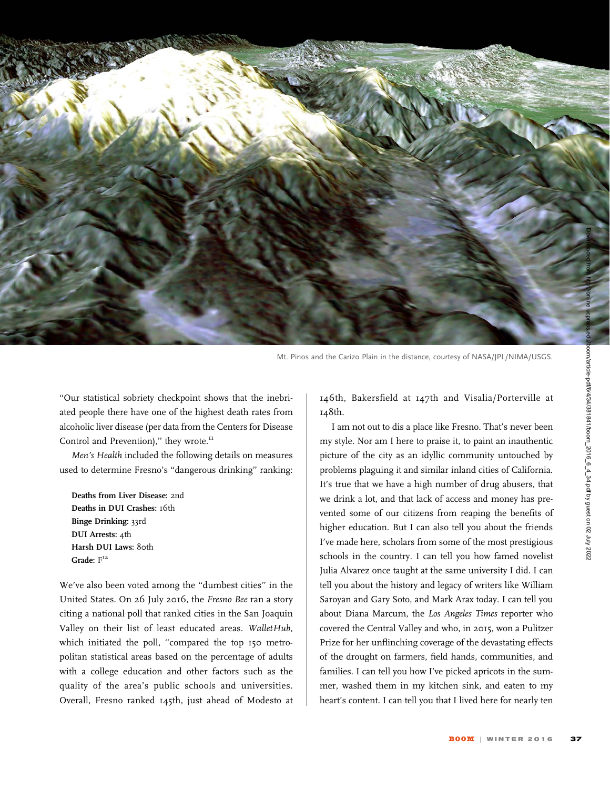

Mt. Pinos and the Carizo Plain in the distance, courtesy of NASA/JPL/NIMA/USGS.

''Our statistical sobriety checkpoint shows that the inebriated people there have one of the highest death rates from alcoholic liver disease (per data from the Centers for Disease Control and Prevention)," they wrote.<sup>11</sup>

Men's Health included the following details on measures used to determine Fresno's ''dangerous drinking'' ranking:

Deaths from Liver Disease: 2nd Deaths in DUI Crashes: 16th Binge Drinking: 33rd DUI Arrests: 4th Harsh DUI Laws: 80th Grade:  $F^{12}$ 

We've also been voted among the ''dumbest cities'' in the United States. On 26 July 2016, the Fresno Bee ran a story citing a national poll that ranked cities in the San Joaquin Valley on their list of least educated areas. WalletHub, which initiated the poll, "compared the top 150 metropolitan statistical areas based on the percentage of adults with a college education and other factors such as the quality of the area's public schools and universities. Overall, Fresno ranked 145th, just ahead of Modesto at 146th, Bakersfield at 147th and Visalia/Porterville at 148th.

I am not out to dis a place like Fresno. That's never been my style. Nor am I here to praise it, to paint an inauthentic picture of the city as an idyllic community untouched by problems plaguing it and similar inland cities of California. It's true that we have a high number of drug abusers, that we drink a lot, and that lack of access and money has prevented some of our citizens from reaping the benefits of higher education. But I can also tell you about the friends I've made here, scholars from some of the most prestigious schools in the country. I can tell you how famed novelist Julia Alvarez once taught at the same university I did. I can tell you about the history and legacy of writers like William Saroyan and Gary Soto, and Mark Arax today. I can tell you about Diana Marcum, the Los Angeles Times reporter who covered the Central Valley and who, in 2015, won a Pulitzer Prize for her unflinching coverage of the devastating effects of the drought on farmers, field hands, communities, and families. I can tell you how I've picked apricots in the summer, washed them in my kitchen sink, and eaten to my heart's content. I can tell you that I lived here for nearly ten